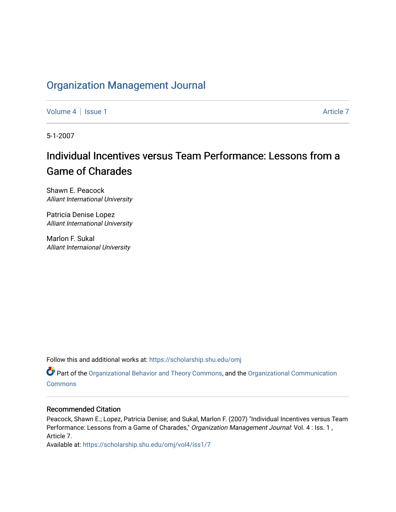# [Organization Management Journal](https://scholarship.shu.edu/omj)

[Volume 4](https://scholarship.shu.edu/omj/vol4) | [Issue 1](https://scholarship.shu.edu/omj/vol4/iss1) Article 7

5-1-2007

# Individual Incentives versus Team Performance: Lessons from a Game of Charades

Shawn E. Peacock Alliant International University

Patricia Denise Lopez Alliant International University

Marlon F. Sukal Alliant Internaional University

Follow this and additional works at: [https://scholarship.shu.edu/omj](https://scholarship.shu.edu/omj?utm_source=scholarship.shu.edu%2Fomj%2Fvol4%2Fiss1%2F7&utm_medium=PDF&utm_campaign=PDFCoverPages) 

Part of the [Organizational Behavior and Theory Commons,](http://network.bepress.com/hgg/discipline/639?utm_source=scholarship.shu.edu%2Fomj%2Fvol4%2Fiss1%2F7&utm_medium=PDF&utm_campaign=PDFCoverPages) and the [Organizational Communication](http://network.bepress.com/hgg/discipline/335?utm_source=scholarship.shu.edu%2Fomj%2Fvol4%2Fiss1%2F7&utm_medium=PDF&utm_campaign=PDFCoverPages) **[Commons](http://network.bepress.com/hgg/discipline/335?utm_source=scholarship.shu.edu%2Fomj%2Fvol4%2Fiss1%2F7&utm_medium=PDF&utm_campaign=PDFCoverPages)** 

#### Recommended Citation

Peacock, Shawn E.; Lopez, Patricia Denise; and Sukal, Marlon F. (2007) "Individual Incentives versus Team Performance: Lessons from a Game of Charades," Organization Management Journal: Vol. 4 : Iss. 1, Article 7.

Available at: [https://scholarship.shu.edu/omj/vol4/iss1/7](https://scholarship.shu.edu/omj/vol4/iss1/7?utm_source=scholarship.shu.edu%2Fomj%2Fvol4%2Fiss1%2F7&utm_medium=PDF&utm_campaign=PDFCoverPages)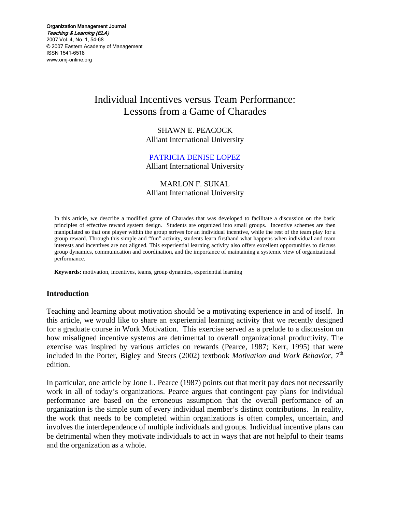Organization Management Journal Teaching & Learning (ELA) 2007 Vol. 4, No. 1, 54-68 © 2007 Eastern Academy of Management ISSN 1541-6518 www.omj-online.org

# Individual Incentives versus Team Performance: Lessons from a Game of Charades

SHAWN E. PEACOCK Alliant International University

#### PATRICIA DENISE LOPEZ

Alliant International University

#### MARLON F. SUKAL Alliant International University

In this article, we describe a modified game of Charades that was developed to facilitate a discussion on the basic principles of effective reward system design. Students are organized into small groups. Incentive schemes are then manipulated so that one player within the group strives for an individual incentive, while the rest of the team play for a group reward. Through this simple and "fun" activity, students learn firsthand what happens when individual and team interests and incentives are not aligned. This experiential learning activity also offers excellent opportunities to discuss group dynamics, communication and coordination, and the importance of maintaining a systemic view of organizational performance.

**Keywords:** motivation, incentives, teams, group dynamics, experiential learning

#### **Introduction**

Teaching and learning about motivation should be a motivating experience in and of itself. In this article, we would like to share an experiential learning activity that we recently designed for a graduate course in Work Motivation. This exercise served as a prelude to a discussion on how misaligned incentive systems are detrimental to overall organizational productivity. The exercise was inspired by various articles on rewards (Pearce, 1987; Kerr, 1995) that were included in the Porter, Bigley and Steers (2002) textbook *Motivation and Work Behavior*, 7<sup>th</sup> edition.

In particular, one article by Jone L. Pearce (1987) points out that merit pay does not necessarily work in all of today's organizations. Pearce argues that contingent pay plans for individual performance are based on the erroneous assumption that the overall performance of an organization is the simple sum of every individual member's distinct contributions. In reality, the work that needs to be completed within organizations is often complex, uncertain, and involves the interdependence of multiple individuals and groups. Individual incentive plans can be detrimental when they motivate individuals to act in ways that are not helpful to their teams and the organization as a whole.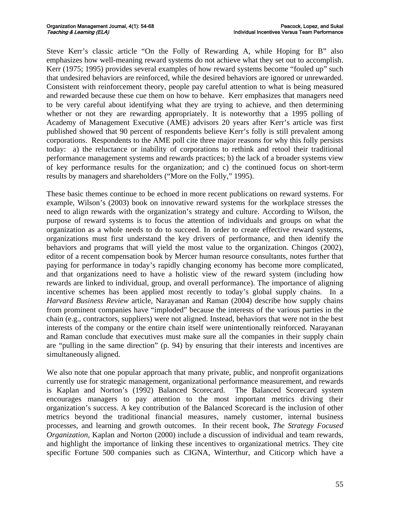Steve Kerr's classic article "On the Folly of Rewarding A, while Hoping for B" also emphasizes how well-meaning reward systems do not achieve what they set out to accomplish. Kerr (1975; 1995) provides several examples of how reward systems become "fouled up" such that undesired behaviors are reinforced, while the desired behaviors are ignored or unrewarded. Consistent with reinforcement theory, people pay careful attention to what is being measured and rewarded because these cue them on how to behave. Kerr emphasizes that managers need to be very careful about identifying what they are trying to achieve, and then determining whether or not they are rewarding appropriately. It is noteworthy that a 1995 polling of Academy of Management Executive (AME) advisors 20 years after Kerr's article was first published showed that 90 percent of respondents believe Kerr's folly is still prevalent among corporations. Respondents to the AME poll cite three major reasons for why this folly persists today: a) the reluctance or inability of corporations to rethink and retool their traditional performance management systems and rewards practices; b) the lack of a broader systems view of key performance results for the organization; and c) the continued focus on short-term results by managers and shareholders ("More on the Folly," 1995).

These basic themes continue to be echoed in more recent publications on reward systems. For example, Wilson's (2003) book on innovative reward systems for the workplace stresses the need to align rewards with the organization's strategy and culture. According to Wilson, the purpose of reward systems is to focus the attention of individuals and groups on what the organization as a whole needs to do to succeed. In order to create effective reward systems, organizations must first understand the key drivers of performance, and then identify the behaviors and programs that will yield the most value to the organization. Chingos (2002), editor of a recent compensation book by Mercer human resource consultants, notes further that paying for performance in today's rapidly changing economy has become more complicated, and that organizations need to have a holistic view of the reward system (including how rewards are linked to individual, group, and overall performance). The importance of aligning incentive schemes has been applied most recently to today's global supply chains. In a *Harvard Business Review* article, Narayanan and Raman (2004) describe how supply chains from prominent companies have "imploded" because the interests of the various parties in the chain (e.g., contractors, suppliers) were not aligned. Instead, behaviors that were not in the best interests of the company or the entire chain itself were unintentionally reinforced. Narayanan and Raman conclude that executives must make sure all the companies in their supply chain are "pulling in the same direction" (p. 94) by ensuring that their interests and incentives are simultaneously aligned.

We also note that one popular approach that many private, public, and nonprofit organizations currently use for strategic management, organizational performance measurement, and rewards is Kaplan and Norton's (1992) Balanced Scorecard. The Balanced Scorecard system encourages managers to pay attention to the most important metrics driving their organization's success. A key contribution of the Balanced Scorecard is the inclusion of other metrics beyond the traditional financial measures, namely customer, internal business processes, and learning and growth outcomes. In their recent book, *The Strategy Focused Organization*, Kaplan and Norton (2000) include a discussion of individual and team rewards, and highlight the importance of linking these incentives to organizational metrics. They cite specific Fortune 500 companies such as CIGNA, Winterthur, and Citicorp which have a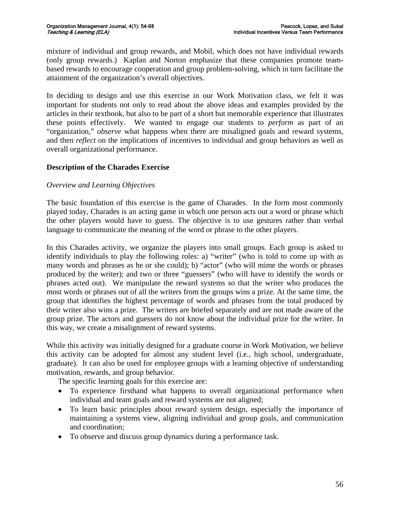mixture of individual and group rewards, and Mobil, which does not have individual rewards (only group rewards.) Kaplan and Norton emphasize that these companies promote teambased rewards to encourage cooperation and group problem-solving, which in turn facilitate the attainment of the organization's overall objectives.

In deciding to design and use this exercise in our Work Motivation class, we felt it was important for students not only to read about the above ideas and examples provided by the articles in their textbook, but also to be part of a short but memorable experience that illustrates these points effectively. We wanted to engage our students to *perform* as part of an "organization," *observe* what happens when there are misaligned goals and reward systems, and then *reflect* on the implications of incentives to individual and group behaviors as well as overall organizational performance.

# **Description of the Charades Exercise**

# *Overview and Learning Objectives*

The basic foundation of this exercise is the game of Charades. In the form most commonly played today, Charades is an acting game in which one person acts out a word or phrase which the other players would have to guess. The objective is to use gestures rather than verbal language to communicate the meaning of the word or phrase to the other players.

In this Charades activity, we organize the players into small groups. Each group is asked to identify individuals to play the following roles: a) "writer" (who is told to come up with as many words and phrases as he or she could); b) "actor" (who will mime the words or phrases produced by the writer); and two or three "guessers" (who will have to identify the words or phrases acted out). We manipulate the reward systems so that the writer who produces the most words or phrases out of all the writers from the groups wins a prize. At the same time, the group that identifies the highest percentage of words and phrases from the total produced by their writer also wins a prize. The writers are briefed separately and are not made aware of the group prize. The actors and guessers do not know about the individual prize for the writer. In this way, we create a misalignment of reward systems.

While this activity was initially designed for a graduate course in Work Motivation, we believe this activity can be adopted for almost any student level (i.e., high school, undergraduate, graduate). It can also be used for employee groups with a learning objective of understanding motivation, rewards, and group behavior.

The specific learning goals for this exercise are:

- To experience firsthand what happens to overall organizational performance when individual and team goals and reward systems are not aligned;
- To learn basic principles about reward system design, especially the importance of maintaining a systems view, aligning individual and group goals, and communication and coordination;
- To observe and discuss group dynamics during a performance task.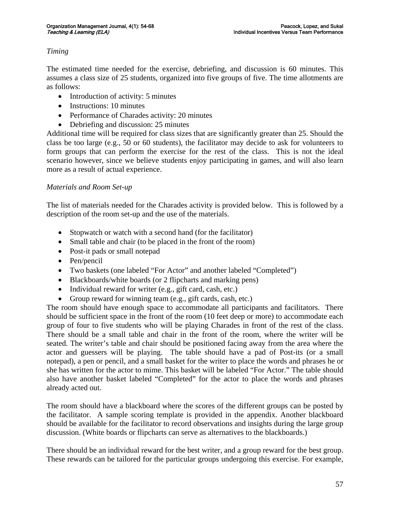# *Timing*

The estimated time needed for the exercise, debriefing, and discussion is 60 minutes. This assumes a class size of 25 students, organized into five groups of five. The time allotments are as follows:

- Introduction of activity: 5 minutes
- Instructions: 10 minutes
- Performance of Charades activity: 20 minutes
- Debriefing and discussion: 25 minutes

Additional time will be required for class sizes that are significantly greater than 25. Should the class be too large (e.g., 50 or 60 students), the facilitator may decide to ask for volunteers to form groups that can perform the exercise for the rest of the class. This is not the ideal scenario however, since we believe students enjoy participating in games, and will also learn more as a result of actual experience.

# *Materials and Room Set-up*

The list of materials needed for the Charades activity is provided below. This is followed by a description of the room set-up and the use of the materials.

- Stopwatch or watch with a second hand (for the facilitator)
- Small table and chair (to be placed in the front of the room)
- Post-it pads or small notepad
- Pen/pencil
- Two baskets (one labeled "For Actor" and another labeled "Completed")
- Blackboards/white boards (or 2 flipcharts and marking pens)
- Individual reward for writer (e.g., gift card, cash, etc.)
- Group reward for winning team (e.g., gift cards, cash, etc.)

The room should have enough space to accommodate all participants and facilitators. There should be sufficient space in the front of the room (10 feet deep or more) to accommodate each group of four to five students who will be playing Charades in front of the rest of the class. There should be a small table and chair in the front of the room, where the writer will be seated. The writer's table and chair should be positioned facing away from the area where the actor and guessers will be playing. The table should have a pad of Post-its (or a small notepad), a pen or pencil, and a small basket for the writer to place the words and phrases he or she has written for the actor to mime. This basket will be labeled "For Actor." The table should also have another basket labeled "Completed" for the actor to place the words and phrases already acted out.

The room should have a blackboard where the scores of the different groups can be posted by the facilitator. A sample scoring template is provided in the appendix. Another blackboard should be available for the facilitator to record observations and insights during the large group discussion. (White boards or flipcharts can serve as alternatives to the blackboards.)

There should be an individual reward for the best writer, and a group reward for the best group. These rewards can be tailored for the particular groups undergoing this exercise. For example,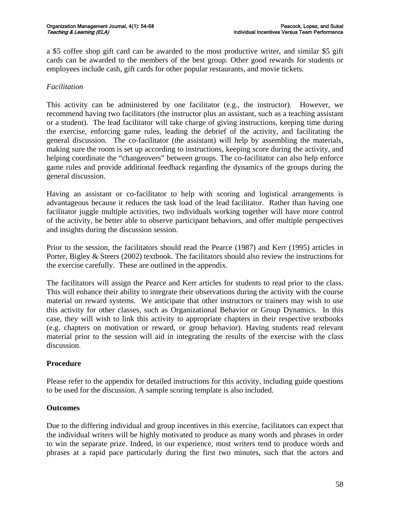a \$5 coffee shop gift card can be awarded to the most productive writer, and similar \$5 gift cards can be awarded to the members of the best group. Other good rewards for students or employees include cash, gift cards for other popular restaurants, and movie tickets.

# *Facilitation*

This activity can be administered by one facilitator (e.g., the instructor). However, we recommend having two facilitators (the instructor plus an assistant, such as a teaching assistant or a student). The lead facilitator will take charge of giving instructions, keeping time during the exercise, enforcing game rules, leading the debrief of the activity, and facilitating the general discussion. The co-facilitator (the assistant) will help by assembling the materials, making sure the room is set up according to instructions, keeping score during the activity, and helping coordinate the "changeovers" between groups. The co-facilitator can also help enforce game rules and provide additional feedback regarding the dynamics of the groups during the general discussion.

Having an assistant or co-facilitator to help with scoring and logistical arrangements is advantageous because it reduces the task load of the lead facilitator. Rather than having one facilitator juggle multiple activities, two individuals working together will have more control of the activity, be better able to observe participant behaviors, and offer multiple perspectives and insights during the discussion session.

Prior to the session, the facilitators should read the Pearce (1987) and Kerr (1995) articles in Porter, Bigley & Steers (2002) textbook. The facilitators should also review the instructions for the exercise carefully. These are outlined in the appendix.

The facilitators will assign the Pearce and Kerr articles for students to read prior to the class. This will enhance their ability to integrate their observations during the activity with the course material on reward systems. We anticipate that other instructors or trainers may wish to use this activity for other classes, such as Organizational Behavior or Group Dynamics. In this case, they will wish to link this activity to appropriate chapters in their respective textbooks (e.g. chapters on motivation or reward, or group behavior). Having students read relevant material prior to the session will aid in integrating the results of the exercise with the class discussion.

# **Procedure**

Please refer to the appendix for detailed instructions for this activity, including guide questions to be used for the discussion. A sample scoring template is also included.

# **Outcomes**

Due to the differing individual and group incentives in this exercise, facilitators can expect that the individual writers will be highly motivated to produce as many words and phrases in order to win the separate prize. Indeed, in our experience, most writers tend to produce words and phrases at a rapid pace particularly during the first two minutes, such that the actors and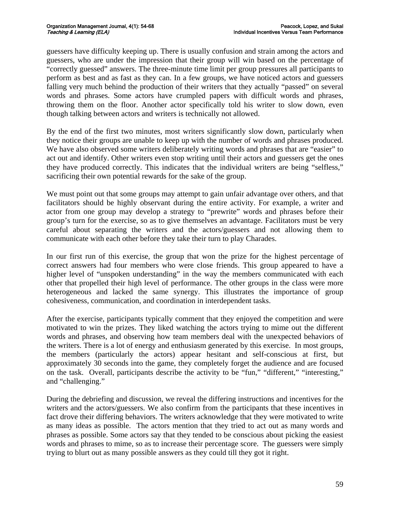guessers have difficulty keeping up. There is usually confusion and strain among the actors and guessers, who are under the impression that their group will win based on the percentage of "correctly guessed" answers. The three-minute time limit per group pressures all participants to perform as best and as fast as they can. In a few groups, we have noticed actors and guessers falling very much behind the production of their writers that they actually "passed" on several words and phrases. Some actors have crumpled papers with difficult words and phrases, throwing them on the floor. Another actor specifically told his writer to slow down, even though talking between actors and writers is technically not allowed.

By the end of the first two minutes, most writers significantly slow down, particularly when they notice their groups are unable to keep up with the number of words and phrases produced. We have also observed some writers deliberately writing words and phrases that are "easier" to act out and identify. Other writers even stop writing until their actors and guessers get the ones they have produced correctly. This indicates that the individual writers are being "selfless," sacrificing their own potential rewards for the sake of the group.

We must point out that some groups may attempt to gain unfair advantage over others, and that facilitators should be highly observant during the entire activity. For example, a writer and actor from one group may develop a strategy to "prewrite" words and phrases before their group's turn for the exercise, so as to give themselves an advantage. Facilitators must be very careful about separating the writers and the actors/guessers and not allowing them to communicate with each other before they take their turn to play Charades.

In our first run of this exercise, the group that won the prize for the highest percentage of correct answers had four members who were close friends. This group appeared to have a higher level of "unspoken understanding" in the way the members communicated with each other that propelled their high level of performance. The other groups in the class were more heterogeneous and lacked the same synergy. This illustrates the importance of group cohesiveness, communication, and coordination in interdependent tasks.

After the exercise, participants typically comment that they enjoyed the competition and were motivated to win the prizes. They liked watching the actors trying to mime out the different words and phrases, and observing how team members deal with the unexpected behaviors of the writers. There is a lot of energy and enthusiasm generated by this exercise. In most groups, the members (particularly the actors) appear hesitant and self-conscious at first, but approximately 30 seconds into the game, they completely forget the audience and are focused on the task. Overall, participants describe the activity to be "fun," "different," "interesting," and "challenging."

During the debriefing and discussion, we reveal the differing instructions and incentives for the writers and the actors/guessers. We also confirm from the participants that these incentives in fact drove their differing behaviors. The writers acknowledge that they were motivated to write as many ideas as possible. The actors mention that they tried to act out as many words and phrases as possible. Some actors say that they tended to be conscious about picking the easiest words and phrases to mime, so as to increase their percentage score. The guessers were simply trying to blurt out as many possible answers as they could till they got it right.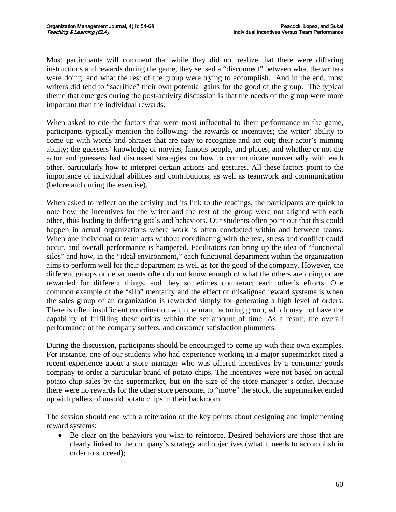Most participants will comment that while they did not realize that there were differing instructions and rewards during the game, they sensed a "disconnect" between what the writers were doing, and what the rest of the group were trying to accomplish. And in the end, most writers did tend to "sacrifice" their own potential gains for the good of the group. The typical theme that emerges during the post-activity discussion is that the needs of the group were more important than the individual rewards.

When asked to cite the factors that were most influential to their performance in the game, participants typically mention the following: the rewards or incentives; the writer' ability to come up with words and phrases that are easy to recognize and act out; their actor's miming ability; the guessers' knowledge of movies, famous people, and places; and whether or not the actor and guessers had discussed strategies on how to communicate nonverbally with each other, particularly how to interpret certain actions and gestures. All these factors point to the importance of individual abilities and contributions, as well as teamwork and communication (before and during the exercise).

When asked to reflect on the activity and its link to the readings, the participants are quick to note how the incentives for the writer and the rest of the group were not aligned with each other, thus leading to differing goals and behaviors. Our students often point out that this could happen in actual organizations where work is often conducted within and between teams. When one individual or team acts without coordinating with the rest, stress and conflict could occur, and overall performance is hampered. Facilitators can bring up the idea of "functional silos" and how, in the "ideal environment," each functional department within the organization aims to perform well for their department as well as for the good of the company. However, the different groups or departments often do not know enough of what the others are doing or are rewarded for different things, and they sometimes counteract each other's efforts. One common example of the "silo" mentality and the effect of misaligned reward systems is when the sales group of an organization is rewarded simply for generating a high level of orders. There is often insufficient coordination with the manufacturing group, which may not have the capability of fulfilling these orders within the set amount of time. As a result, the overall performance of the company suffers, and customer satisfaction plummets.

During the discussion, participants should be encouraged to come up with their own examples. For instance, one of our students who had experience working in a major supermarket cited a recent experience about a store manager who was offered incentives by a consumer goods company to order a particular brand of potato chips. The incentives were not based on actual potato chip sales by the supermarket, but on the size of the store manager's order. Because there were no rewards for the other store personnel to "move" the stock, the supermarket ended up with pallets of unsold potato chips in their backroom.

The session should end with a reiteration of the key points about designing and implementing reward systems:

• Be clear on the behaviors you wish to reinforce. Desired behaviors are those that are clearly linked to the company's strategy and objectives (what it needs to accomplish in order to succeed);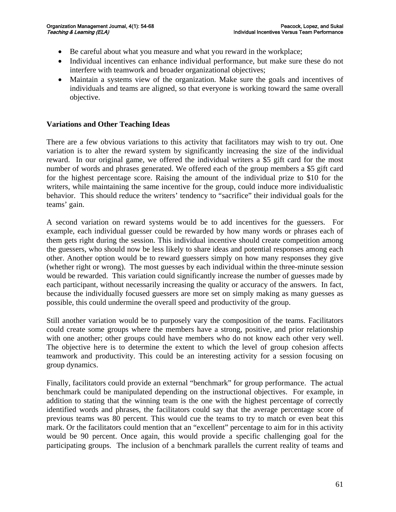- Be careful about what you measure and what you reward in the workplace;
- Individual incentives can enhance individual performance, but make sure these do not interfere with teamwork and broader organizational objectives;
- Maintain a systems view of the organization. Make sure the goals and incentives of individuals and teams are aligned, so that everyone is working toward the same overall objective.

#### **Variations and Other Teaching Ideas**

There are a few obvious variations to this activity that facilitators may wish to try out. One variation is to alter the reward system by significantly increasing the size of the individual reward. In our original game, we offered the individual writers a \$5 gift card for the most number of words and phrases generated. We offered each of the group members a \$5 gift card for the highest percentage score. Raising the amount of the individual prize to \$10 for the writers, while maintaining the same incentive for the group, could induce more individualistic behavior. This should reduce the writers' tendency to "sacrifice" their individual goals for the teams' gain.

A second variation on reward systems would be to add incentives for the guessers. For example, each individual guesser could be rewarded by how many words or phrases each of them gets right during the session. This individual incentive should create competition among the guessers, who should now be less likely to share ideas and potential responses among each other. Another option would be to reward guessers simply on how many responses they give (whether right or wrong). The most guesses by each individual within the three-minute session would be rewarded. This variation could significantly increase the number of guesses made by each participant, without necessarily increasing the quality or accuracy of the answers. In fact, because the individually focused guessers are more set on simply making as many guesses as possible, this could undermine the overall speed and productivity of the group.

Still another variation would be to purposely vary the composition of the teams. Facilitators could create some groups where the members have a strong, positive, and prior relationship with one another; other groups could have members who do not know each other very well. The objective here is to determine the extent to which the level of group cohesion affects teamwork and productivity. This could be an interesting activity for a session focusing on group dynamics.

Finally, facilitators could provide an external "benchmark" for group performance. The actual benchmark could be manipulated depending on the instructional objectives. For example, in addition to stating that the winning team is the one with the highest percentage of correctly identified words and phrases, the facilitators could say that the average percentage score of previous teams was 80 percent. This would cue the teams to try to match or even beat this mark. Or the facilitators could mention that an "excellent" percentage to aim for in this activity would be 90 percent. Once again, this would provide a specific challenging goal for the participating groups. The inclusion of a benchmark parallels the current reality of teams and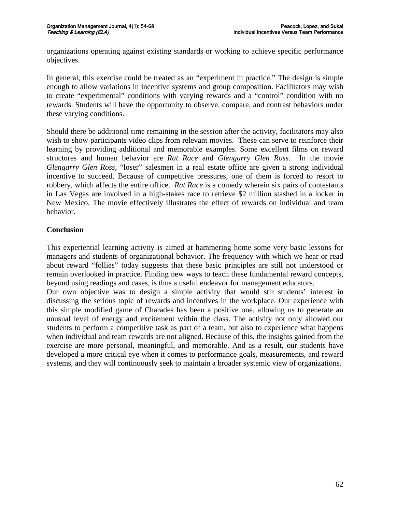organizations operating against existing standards or working to achieve specific performance objectives.

In general, this exercise could be treated as an "experiment in practice." The design is simple enough to allow variations in incentive systems and group composition. Facilitators may wish to create "experimental" conditions with varying rewards and a "control" condition with no rewards. Students will have the opportunity to observe, compare, and contrast behaviors under these varying conditions.

Should there be additional time remaining in the session after the activity, facilitators may also wish to show participants video clips from relevant movies. These can serve to reinforce their learning by providing additional and memorable examples. Some excellent films on reward structures and human behavior are *Rat Race* and *Glengarry Glen Ross*. In the movie *Glengarry Glen Ross,* "loser" salesmen in a real estate office are given a strong individual incentive to succeed. Because of competitive pressures, one of them is forced to resort to robbery, which affects the entire office. *Rat Race* is a comedy wherein six pairs of contestants in Las Vegas are involved in a high-stakes race to retrieve \$2 million stashed in a locker in New Mexico. The movie effectively illustrates the effect of rewards on individual and team behavior.

# **Conclusion**

This experiential learning activity is aimed at hammering home some very basic lessons for managers and students of organizational behavior. The frequency with which we hear or read about reward "follies" today suggests that these basic principles are still not understood or remain overlooked in practice. Finding new ways to teach these fundamental reward concepts, beyond using readings and cases, is thus a useful endeavor for management educators.

Our own objective was to design a simple activity that would stir students' interest in discussing the serious topic of rewards and incentives in the workplace. Our experience with this simple modified game of Charades has been a positive one, allowing us to generate an unusual level of energy and excitement within the class. The activity not only allowed our students to perform a competitive task as part of a team, but also to experience what happens when individual and team rewards are not aligned. Because of this, the insights gained from the exercise are more personal, meaningful, and memorable. And as a result, our students have developed a more critical eye when it comes to performance goals, measurements, and reward systems, and they will continuously seek to maintain a broader systemic view of organizations.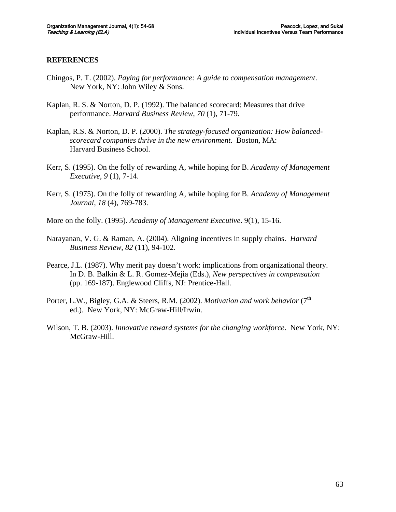#### **REFERENCES**

- Chingos, P. T. (2002). *Paying for performance: A guide to compensation management*. New York, NY: John Wiley & Sons.
- Kaplan, R. S. & Norton, D. P. (1992). The balanced scorecard: Measures that drive performance. *Harvard Business Review, 70* (1), 71-79.
- Kaplan, R.S. & Norton, D. P. (2000). *The strategy-focused organization: How balancedscorecard companies thrive in the new environment.* Boston, MA: Harvard Business School.
- Kerr, S. (1995). On the folly of rewarding A, while hoping for B. *Academy of Management Executive*, *9* (1), 7-14.
- Kerr, S. (1975). On the folly of rewarding A, while hoping for B. *Academy of Management Journal*, *18* (4), 769-783.
- More on the folly. (1995). *Academy of Management Executive*. 9(1), 15-16.
- Narayanan, V. G. & Raman, A. (2004). Aligning incentives in supply chains. *Harvard Business Review*, *82* (11), 94-102.
- Pearce, J.L. (1987). Why merit pay doesn't work: implications from organizational theory. In D. B. Balkin & L. R. Gomez-Mejia (Eds.), *New perspectives in compensation* (pp. 169-187). Englewood Cliffs, NJ: Prentice-Hall.
- Porter, L.W., Bigley, G.A. & Steers, R.M. (2002). *Motivation and work behavior* (7<sup>th</sup> ed.). New York, NY: McGraw-Hill/Irwin.
- Wilson, T. B. (2003). *Innovative reward systems for the changing workforce*. New York, NY: McGraw-Hill.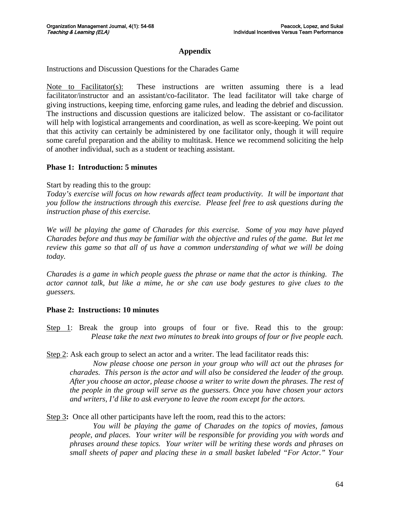# **Appendix**

Instructions and Discussion Questions for the Charades Game

Note to Facilitator(s): These instructions are written assuming there is a lead facilitator/instructor and an assistant/co-facilitator. The lead facilitator will take charge of giving instructions, keeping time, enforcing game rules, and leading the debrief and discussion. The instructions and discussion questions are italicized below. The assistant or co-facilitator will help with logistical arrangements and coordination, as well as score-keeping. We point out that this activity can certainly be administered by one facilitator only, though it will require some careful preparation and the ability to multitask. Hence we recommend soliciting the help of another individual, such as a student or teaching assistant.

#### **Phase 1: Introduction: 5 minutes**

Start by reading this to the group:

*Today's exercise will focus on how rewards affect team productivity. It will be important that you follow the instructions through this exercise. Please feel free to ask questions during the instruction phase of this exercise.* 

*We will be playing the game of Charades for this exercise. Some of you may have played Charades before and thus may be familiar with the objective and rules of the game. But let me review this game so that all of us have a common understanding of what we will be doing today.* 

*Charades is a game in which people guess the phrase or name that the actor is thinking. The actor cannot talk, but like a mime, he or she can use body gestures to give clues to the guessers.* 

#### **Phase 2: Instructions: 10 minutes**

- Step 1: Break the group into groups of four or five. Read this to the group: *Please take the next two minutes to break into groups of four or five people each.*
- Step 2: Ask each group to select an actor and a writer. The lead facilitator reads this:

*Now please choose one person in your group who will act out the phrases for charades. This person is the actor and will also be considered the leader of the group. After you choose an actor, please choose a writer to write down the phrases. The rest of the people in the group will serve as the guessers. Once you have chosen your actors and writers, I'd like to ask everyone to leave the room except for the actors.* 

Step 3**:** Once all other participants have left the room, read this to the actors:

*You will be playing the game of Charades on the topics of movies, famous people, and places. Your writer will be responsible for providing you with words and phrases around these topics. Your writer will be writing these words and phrases on small sheets of paper and placing these in a small basket labeled "For Actor." Your*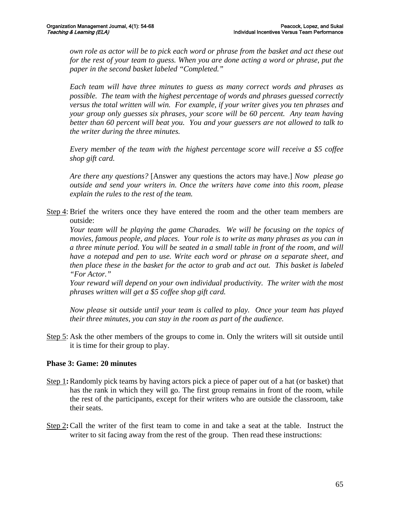*own role as actor will be to pick each word or phrase from the basket and act these out for the rest of your team to guess. When you are done acting a word or phrase, put the paper in the second basket labeled "Completed."* 

*Each team will have three minutes to guess as many correct words and phrases as possible. The team with the highest percentage of words and phrases guessed correctly versus the total written will win. For example, if your writer gives you ten phrases and your group only guesses six phrases, your score will be 60 percent. Any team having better than 60 percent will beat you. You and your guessers are not allowed to talk to the writer during the three minutes.* 

*Every member of the team with the highest percentage score will receive a \$5 coffee shop gift card.* 

*Are there any questions?* [Answer any questions the actors may have.] *Now please go outside and send your writers in. Once the writers have come into this room, please explain the rules to the rest of the team.* 

Step 4: Brief the writers once they have entered the room and the other team members are outside:

*Your team will be playing the game Charades. We will be focusing on the topics of movies, famous people, and places. Your role is to write as many phrases as you can in a three minute period. You will be seated in a small table in front of the room, and will have a notepad and pen to use. Write each word or phrase on a separate sheet, and then place these in the basket for the actor to grab and act out. This basket is labeled "For Actor."* 

*Your reward will depend on your own individual productivity. The writer with the most phrases written will get a \$5 coffee shop gift card.* 

*Now please sit outside until your team is called to play. Once your team has played their three minutes, you can stay in the room as part of the audience.* 

Step 5: Ask the other members of the groups to come in. Only the writers will sit outside until it is time for their group to play.

#### **Phase 3: Game: 20 minutes**

- Step 1**:** Randomly pick teams by having actors pick a piece of paper out of a hat (or basket) that has the rank in which they will go. The first group remains in front of the room, while the rest of the participants, except for their writers who are outside the classroom, take their seats.
- Step 2**:** Call the writer of the first team to come in and take a seat at the table. Instruct the writer to sit facing away from the rest of the group. Then read these instructions: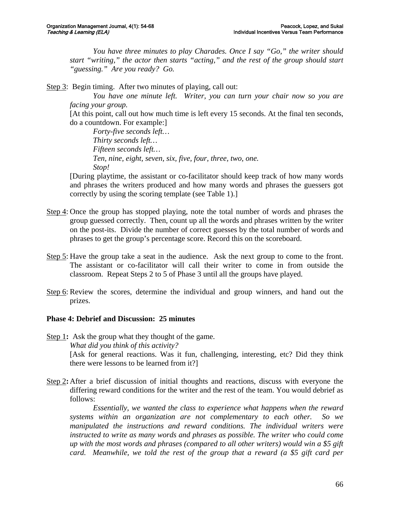*You have three minutes to play Charades. Once I say "Go," the writer should start "writing," the actor then starts "acting," and the rest of the group should start "guessing." Are you ready? Go.* 

Step 3: Begin timing. After two minutes of playing, call out:

*You have one minute left. Writer, you can turn your chair now so you are facing your group.* 

[At this point, call out how much time is left every 15 seconds. At the final ten seconds, do a countdown. For example:]

*Forty-five seconds left… Thirty seconds left… Fifteen seconds left… Ten, nine, eight, seven, six, five, four, three, two, one. Stop!* 

[During playtime, the assistant or co-facilitator should keep track of how many words and phrases the writers produced and how many words and phrases the guessers got correctly by using the scoring template (see Table 1).]

- Step 4: Once the group has stopped playing, note the total number of words and phrases the group guessed correctly. Then, count up all the words and phrases written by the writer on the post-its. Divide the number of correct guesses by the total number of words and phrases to get the group's percentage score. Record this on the scoreboard.
- Step 5: Have the group take a seat in the audience. Ask the next group to come to the front. The assistant or co-facilitator will call their writer to come in from outside the classroom. Repeat Steps 2 to 5 of Phase 3 until all the groups have played.
- Step 6: Review the scores, determine the individual and group winners, and hand out the prizes.

# **Phase 4: Debrief and Discussion: 25 minutes**

- Step 1**:** Ask the group what they thought of the game. *What did you think of this activity?* [Ask for general reactions. Was it fun, challenging, interesting, etc? Did they think there were lessons to be learned from it?]
- Step 2**:** After a brief discussion of initial thoughts and reactions, discuss with everyone the differing reward conditions for the writer and the rest of the team. You would debrief as follows:

*Essentially, we wanted the class to experience what happens when the reward systems within an organization are not complementary to each other. So we manipulated the instructions and reward conditions. The individual writers were instructed to write as many words and phrases as possible. The writer who could come up with the most words and phrases (compared to all other writers) would win a \$5 gift card. Meanwhile, we told the rest of the group that a reward (a \$5 gift card per*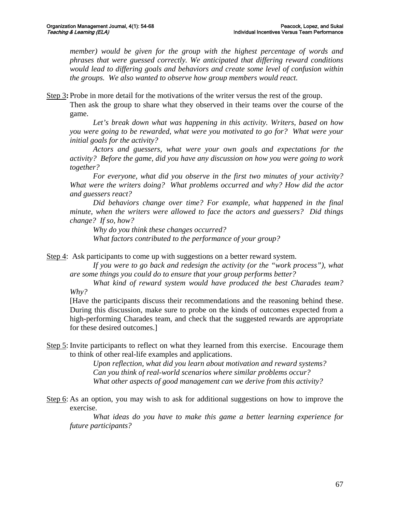*member) would be given for the group with the highest percentage of words and phrases that were guessed correctly. We anticipated that differing reward conditions would lead to differing goals and behaviors and create some level of confusion within the groups. We also wanted to observe how group members would react.* 

Step 3: Probe in more detail for the motivations of the writer versus the rest of the group.

Then ask the group to share what they observed in their teams over the course of the game.

*Let's break down what was happening in this activity. Writers, based on how you were going to be rewarded, what were you motivated to go for? What were your initial goals for the activity?* 

*Actors and guessers, what were your own goals and expectations for the activity? Before the game, did you have any discussion on how you were going to work together?* 

*For everyone, what did you observe in the first two minutes of your activity? What were the writers doing? What problems occurred and why? How did the actor and guessers react?* 

 *Did behaviors change over time? For example, what happened in the final minute, when the writers were allowed to face the actors and guessers? Did things change? If so, how?* 

 *Why do you think these changes occurred? What factors contributed to the performance of your group?*

Step 4: Ask participants to come up with suggestions on a better reward system.

 *If you were to go back and redesign the activity (or the "work process"), what are some things you could do to ensure that your group performs better?* 

*What kind of reward system would have produced the best Charades team? Why?* 

[Have the participants discuss their recommendations and the reasoning behind these. During this discussion, make sure to probe on the kinds of outcomes expected from a high-performing Charades team, and check that the suggested rewards are appropriate for these desired outcomes.]

Step 5: Invite participants to reflect on what they learned from this exercise. Encourage them to think of other real-life examples and applications.

> *Upon reflection, what did you learn about motivation and reward systems? Can you think of real-world scenarios where similar problems occur? What other aspects of good management can we derive from this activity?*

Step 6: As an option, you may wish to ask for additional suggestions on how to improve the exercise.

 *What ideas do you have to make this game a better learning experience for future participants?*